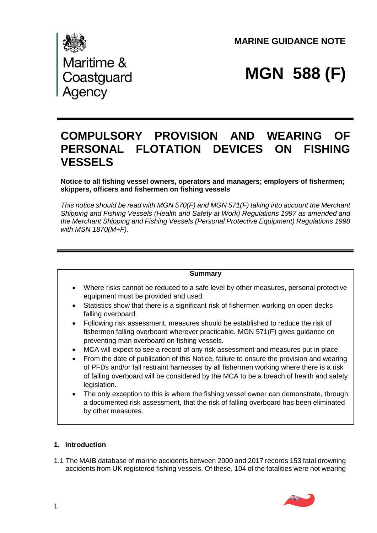**MARINE GUIDANCE NOTE** 



# **MGN 588 (F)**

# **COMPULSORY PROVISION AND WEARING OF PERSONAL FLOTATION DEVICES ON FISHING VESSELS**

**Notice to all fishing vessel owners, operators and managers; employers of fishermen; skippers, officers and fishermen on fishing vessels** 

*This notice should be read with MGN 570(F) and MGN 571(F) taking into account the Merchant Shipping and Fishing Vessels (Health and Safety at Work) Regulations 1997 as amended and the Merchant Shipping and Fishing Vessels (Personal Protective Equipment) Regulations 1998 with MSN 1870(M+F).* 



- Where risks cannot be reduced to a safe level by other measures, personal protective equipment must be provided and used.
- Statistics show that there is a significant risk of fishermen working on open decks falling overboard.
- Following risk assessment, measures should be established to reduce the risk of fishermen falling overboard wherever practicable. MGN 571(F) gives guidance on preventing man overboard on fishing vessels.
- MCA will expect to see a record of any risk assessment and measures put in place.
- From the date of publication of this Notice, failure to ensure the provision and wearing of PFDs and/or fall restraint harnesses by all fishermen working where there is a risk of falling overboard will be considered by the MCA to be a breach of health and safety legislation**.**
- The only exception to this is where the fishing vessel owner can demonstrate, through a documented risk assessment, that the risk of falling overboard has been eliminated by other measures.

# **1. Introduction**

1.1 The MAIB database of marine accidents between 2000 and 2017 records 153 fatal drowning accidents from UK registered fishing vessels. Of these, 104 of the fatalities were not wearing

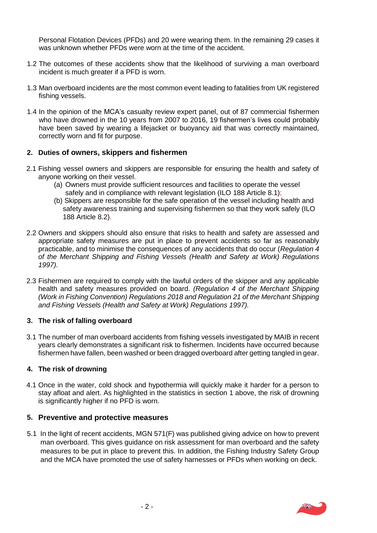Personal Flotation Devices (PFDs) and 20 were wearing them. In the remaining 29 cases it was unknown whether PFDs were worn at the time of the accident.

- 1.2 The outcomes of these accidents show that the likelihood of surviving a man overboard incident is much greater if a PFD is worn.
- 1.3 Man overboard incidents are the most common event leading to fatalities from UK registered fishing vessels.
- 1.4 In the opinion of the MCA's casualty review expert panel, out of 87 commercial fishermen who have drowned in the 10 years from 2007 to 2016, 19 fishermen's lives could probably have been saved by wearing a lifejacket or buoyancy aid that was correctly maintained, correctly worn and fit for purpose.

### **2. Duties of owners, skippers and fishermen**

- 2.1 Fishing vessel owners and skippers are responsible for ensuring the health and safety of anyone working on their vessel.
	- (a) Owners must provide sufficient resources and facilities to operate the vessel safely and in compliance with relevant legislation (ILO 188 Article 8.1);
	- (b) Skippers are responsible for the safe operation of the vessel including health and safety awareness training and supervising fishermen so that they work safely (ILO 188 Article 8.2).
- 2.2 Owners and skippers should also ensure that risks to health and safety are assessed and appropriate safety measures are put in place to prevent accidents so far as reasonably practicable, and to minimise the consequences of any accidents that do occur (*Regulation 4 of the Merchant Shipping and Fishing Vessels (Health and Safety at Work) Regulations 1997).*
- 2.3 Fishermen are required to comply with the lawful orders of the skipper and any applicable health and safety measures provided on board. *(Regulation 4 of the Merchant Shipping (Work in Fishing Convention) Regulations 2018 and Regulation 21 of the Merchant Shipping and Fishing Vessels (Health and Safety at Work) Regulations 1997).*

#### **3. The risk of falling overboard**

3.1 The number of man overboard accidents from fishing vessels investigated by MAIB in recent years clearly demonstrates a significant risk to fishermen. Incidents have occurred because fishermen have fallen, been washed or been dragged overboard after getting tangled in gear.

#### **4. The risk of drowning**

4.1 Once in the water, cold shock and hypothermia will quickly make it harder for a person to stay afloat and alert. As highlighted in the statistics in section 1 above, the risk of drowning is significantly higher if no PFD is worn.

#### **5. Preventive and protective measures**

5.1 In the light of recent accidents, MGN 571(F) was published giving advice on how to prevent man overboard. This gives guidance on risk assessment for man overboard and the safety measures to be put in place to prevent this. In addition, the Fishing Industry Safety Group and the MCA have promoted the use of safety harnesses or PFDs when working on deck.

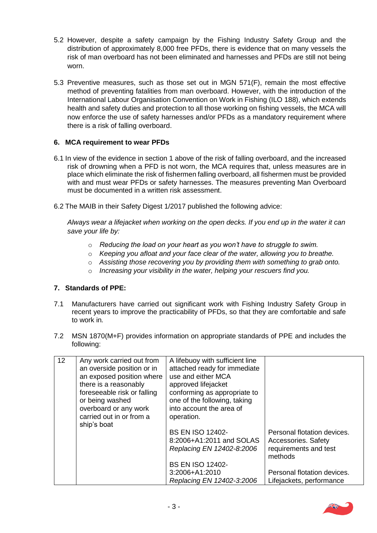- 5.2 However, despite a safety campaign by the Fishing Industry Safety Group and the distribution of approximately 8,000 free PFDs, there is evidence that on many vessels the risk of man overboard has not been eliminated and harnesses and PFDs are still not being worn.
- 5.3 Preventive measures, such as those set out in MGN 571(F), remain the most effective method of preventing fatalities from man overboard. However, with the introduction of the International Labour Organisation Convention on Work in Fishing (ILO 188), which extends health and safety duties and protection to all those working on fishing vessels, the MCA will now enforce the use of safety harnesses and/or PFDs as a mandatory requirement where there is a risk of falling overboard.

# **6. MCA requirement to wear PFDs**

- 6.1 In view of the evidence in section 1 above of the risk of falling overboard, and the increased risk of drowning when a PFD is not worn, the MCA requires that, unless measures are in place which eliminate the risk of fishermen falling overboard, all fishermen must be provided with and must wear PFDs or safety harnesses. The measures preventing Man Overboard must be documented in a written risk assessment.
- 6.2 The MAIB in their Safety Digest 1/2017 published the following advice:

*Always wear a lifejacket when working on the open decks. If you end up in the water it can save your life by:* 

- o *Reducing the load on your heart as you won't have to struggle to swim.*
- o *Keeping you afloat and your face clear of the water, allowing you to breathe.*
- o *Assisting those recovering you by providing them with something to grab onto.*
- o *Increasing your visibility in the water, helping your rescuers find you.*

#### **7. Standards of PPE:**

- 7.1 Manufacturers have carried out significant work with Fishing Industry Safety Group in recent years to improve the practicability of PFDs, so that they are comfortable and safe to work in*.*
- 7.2 MSN 1870(M+F) provides information on appropriate standards of PPE and includes the following:

| 12 | Any work carried out from<br>an overside position or in<br>an exposed position where<br>there is a reasonably<br>foreseeable risk or falling<br>or being washed<br>overboard or any work<br>carried out in or from a | A lifebuoy with sufficient line<br>attached ready for immediate<br>use and either MCA<br>approved lifejacket<br>conforming as appropriate to<br>one of the following, taking<br>into account the area of<br>operation. |                                                                                                                                                   |
|----|----------------------------------------------------------------------------------------------------------------------------------------------------------------------------------------------------------------------|------------------------------------------------------------------------------------------------------------------------------------------------------------------------------------------------------------------------|---------------------------------------------------------------------------------------------------------------------------------------------------|
|    | ship's boat                                                                                                                                                                                                          | <b>BS EN ISO 12402-</b><br>8:2006+A1:2011 and SOLAS<br>Replacing EN 12402-8:2006<br><b>BS EN ISO 12402-</b><br>3:2006+A1:2010<br>Replacing EN 12402-3:2006                                                             | Personal flotation devices.<br>Accessories. Safety<br>requirements and test<br>methods<br>Personal flotation devices.<br>Lifejackets, performance |

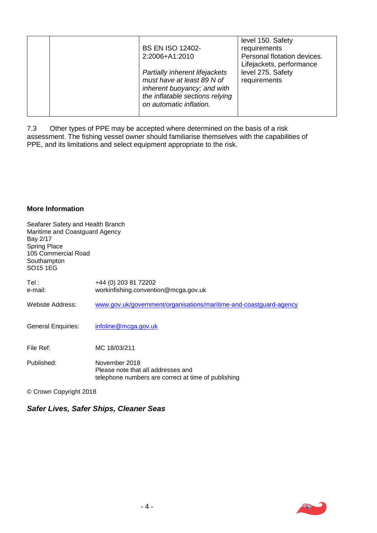| <b>BS EN ISO 12402-</b>         | level 150. Safety<br>requirements |
|---------------------------------|-----------------------------------|
|                                 |                                   |
| 2:2006+A1:2010                  | Personal flotation devices.       |
|                                 | Lifejackets, performance          |
| Partially inherent lifejackets  | level 275. Safety                 |
| must have at least 89 N of      | requirements                      |
| inherent buoyancy; and with     |                                   |
| the inflatable sections relying |                                   |
| on automatic inflation.         |                                   |
|                                 |                                   |

7.3 Other types of PPE may be accepted where determined on the basis of a risk assessment. The fishing vessel owner should familiarise themselves with the capabilities of PPE, and its limitations and select equipment appropriate to the risk.

# **More Information**

| Seafarer Safety and Health Branch<br>Maritime and Coastguard Agency<br>Bay 2/17<br><b>Spring Place</b><br>105 Commercial Road<br>Southampton<br>SO15 1EG |                                                                                                            |
|----------------------------------------------------------------------------------------------------------------------------------------------------------|------------------------------------------------------------------------------------------------------------|
| Tel :<br>e-mail:                                                                                                                                         | +44 (0) 203 81 72202<br>workinfishing.convention@mcga.gov.uk                                               |
| Website Address:                                                                                                                                         | www.gov.uk/government/organisations/maritime-and-coastguard-agency                                         |
| General Enquiries:                                                                                                                                       | infoline@mcga.gov.uk                                                                                       |
| File Ref:                                                                                                                                                | MC 18/03/211                                                                                               |
| Published:                                                                                                                                               | November 2018<br>Please note that all addresses and<br>telephone numbers are correct at time of publishing |

© Crown Copyright 2018

# *. Safer Lives, Safer Ships, Cleaner Seas*